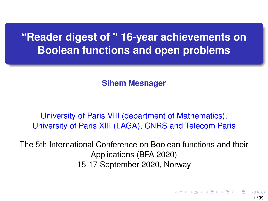<span id="page-0-0"></span>**"Reader digest of " 16-year achievements on Boolean functions and open problems**

**Sihem Mesnager**

University of Paris VIII (department of Mathematics), University of Paris XIII (LAGA), CNRS and Telecom Paris

The 5th International Conference on Boolean functions and their Applications (BFA 2020) 15-17 September 2020, Norway

イロト イ押 トイヨ トイヨト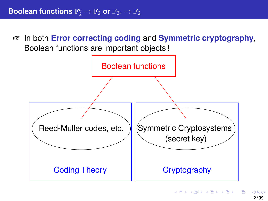☞ In both **Error correcting coding** and **Symmetric cryptography**, Boolean functions are important objects !

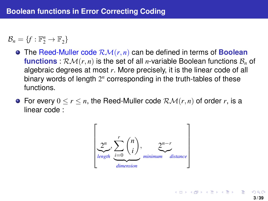$\mathcal{B}_n = \{f : \mathbb{F}_2^n \to \mathbb{F}_2\}$ 

- The Reed-Muller code RM(*r*, *n*) can be defined in terms of **Boolean functions** :  $\mathcal{RM}(r, n)$  is the set of all *n*-variable Boolean functions  $\mathcal{B}_n$  of algebraic degrees at most *r*. More precisely, it is the linear code of all binary words of length 2<sup>n</sup> corresponding in the truth-tables of these functions.
- **●** For every  $0 \le r \le n$ , the Reed-Muller code  $\mathcal{RM}(r,n)$  of order *r*, is a linear code :



メロトメ 伊 メメ きょくぼう 一番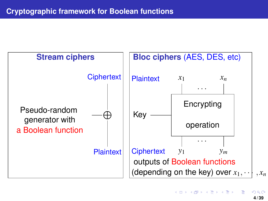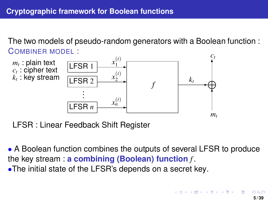<span id="page-4-0"></span>The two models of pseudo-random generators with a Boolean function : COMBINER MODEL :



LFSR : Linear Feedback Shift Register

• A Boolean function combines the outputs of several LFSR to produce the key stream : **a combining (Boolean) function** *f* . •The initial state of the LFSR's depends on a secret key.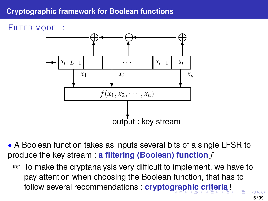# <span id="page-5-0"></span>**Cryptographic framework for Boolean functions**

## FILTER MODEL :



• A Boolean function takes as inputs several bits of a single LFSR to produce the key stream : **a filtering (Boolean) function** *f*

☞ To make the cryptanalysis very difficult to implement, we have to pay attention when choosing the Boolean function, that has to follow several recommendations : **crypto[gra](#page-4-0)[p](#page-6-0)[h](#page-4-0)[ic](#page-5-0) [c](#page-6-0)[ri](#page-0-0)[ter](#page-38-0)[ia](#page-0-0)**[!](#page-38-0)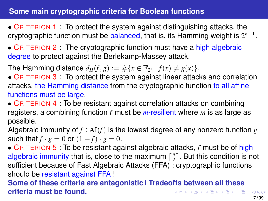## <span id="page-6-0"></span>**Some main cryptographic criteria for Boolean functions**

- CRITERION 1 : To protect the system against distinguishing attacks, the cryptographic function must be balanced, that is, its Hamming weight is 2 *n*−1 .
- CRITERION 2 : The cryptographic function must have a high algebraic degree to protect against the Berlekamp-Massey attack.

The Hamming distance  $d_H(f, g) := \#\{x \in \mathbb{F}_{2^n} \mid f(x) \neq g(x)\}.$ 

- CRITERION 3 : To protect the system against linear attacks and correlation attacks, the Hamming distance from the cryptographic function to all affine functions must be large.
- CRITERION 4 : To be resistant against correlation attacks on combining registers, a combining function *f* must be *m*-resilient where *m* is as large as possible.

Algebraic immunity of *f* : AI(*f*) is the lowest degree of any nonzero function *g* such that  $f \cdot g = 0$  or  $(1 + f) \cdot g = 0$ .

• CRITERION 5 : To be resistant against algebraic attacks, *f* must be of high algebraic immunity that is, close to the maximum  $\lceil \frac{n}{2} \rceil$ . But this condition is not sufficient because of Fast Algebraic Attacks (FFA) : cryptographic functions should be resistant against FFA!

**Some of these criteria are antagonistic ! Tradeoffs between all these criteria must be found.** イロトメ 御 トメ 差 トメ 差 トー 差し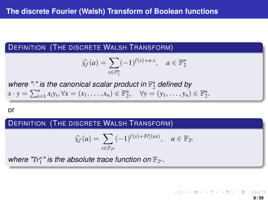#### DEFINITION (THE DISCRETE WALSH TRANSFORM)

$$
\widehat{\chi_f}(a) = \sum_{x \in \mathbb{F}_2^n} (-1)^{f(x) + a \cdot x}, \quad a \in \mathbb{F}_2^n
$$

where "." is the canonical scalar product in  $\mathbb{F}_2^n$  defined by  $x \cdot y = \sum_{i=1}^{n} x_i y_i, \forall x = (x_1, \ldots, x_n) \in \mathbb{F}_2^n, \quad \forall y = (y_1, \ldots, y_n) \in \mathbb{F}_2^n.$ 

or

#### DEFINITION (THE DISCRETE WALSH TRANSFORM)

$$
\widehat{\chi}_f(a)=\sum_{x\in\mathbb{F}_{2^n}}(-1)^{f(x)+Tr_1^n(ax)},\quad a\in\mathbb{F}_{2^n}
$$

where " $Tr_1^n$ " is the absolute trace function on  $\mathbb{F}_{2^n}$ .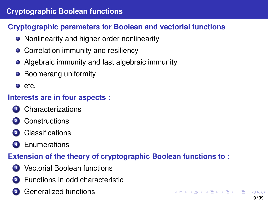# **Cryptographic Boolean functions**

# **Cryptographic parameters for Boolean and vectorial functions**

- Nonlinearity and higher-order nonlinearity
- Correlation immunity and resiliency
- Algebraic immunity and fast algebraic immunity
- Boomerang uniformity
- e etc.

## **Interests are in four aspects :**

- **<sup>1</sup>** Characterizations
- **<sup>2</sup>** Constructions
- **<sup>3</sup>** Classifications
- **<sup>4</sup>** Enumerations

# **Extension of the theory of cryptographic Boolean functions to :**

- **1** Vectorial Boolean functions
- **2** Functions in odd characteristic
	- **<sup>3</sup>** Generalized functions

 $($   $\Box$   $\rightarrow$   $($  $\Box$   $\rightarrow$   $($   $\Box$   $\rightarrow$   $\Box$   $\rightarrow$   $\Box$   $\rightarrow$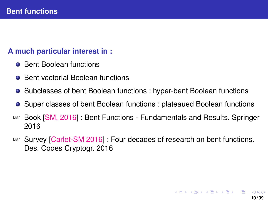### **A much particular interest in :**

- **Bent Boolean functions**
- **Bent vectorial Boolean functions**
- Subclasses of bent Boolean functions : hyper-bent Boolean functions
- **Super classes of bent Boolean functions : plateaued Boolean functions**
- ☞ Book [SM, 2016] : Bent Functions Fundamentals and Results. Springer 2016
- ☞ Survey [Carlet-SM 2016] : Four decades of research on bent functions. Des. Codes Cryptogr. 2016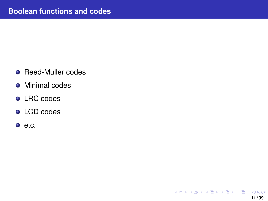• Reed-Muller codes

**11 / 39**

 $\Omega$ 

K ロ ト K 個 ト K 差 ト K 差 ト … 差

- **•** Minimal codes
- **o** LRC codes
- **•** LCD codes
- $e$  etc.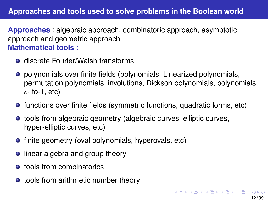## **Approaches and tools used to solve problems in the Boolean world**

**Approaches** : algebraic approach, combinatoric approach, asymptotic approach and geometric approach. **Mathematical tools :**

- **o** discrete Fourier/Walsh transforms
- **•** polynomials over finite fields (polynomials, Linearized polynomials, permutation polynomials, involutions, Dickson polynomials, polynomials *e*- to-1, etc)
- **•** functions over finite fields (symmetric functions, quadratic forms, etc)
- tools from algebraic geometry (algebraic curves, elliptic curves, hyper-elliptic curves, etc)
- **•** finite geometry (oval polynomials, hyperovals, etc)
- **•** linear algebra and group theory
- **o** tools from combinatorics
- tools from arithmetic number theory

K ロ > K 個 > K 君 > K 君 > 「君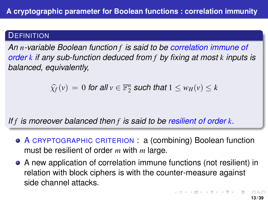## **DEFINITION**

*An n-variable Boolean function f is said to be correlation immune of order k if any sub-function deduced from f by fixing at most k inputs is balanced, equivalently,*

 $\widehat{\chi_f}(v) = 0$  for all  $v \in \mathbb{F}_2^n$  such that  $1 \leq w_H(v) \leq k$ 

*If f is moreover balanced then f is said to be resilient of order k.*

- A CRYPTOGRAPHIC CRITERION : a (combining) Boolean function must be resilient of order *m* with *m* large.
- A new application of correlation immune functions (not resilient) in relation with block ciphers is with the counter-measure against side channel attacks.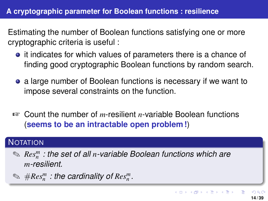Estimating the number of Boolean functions satisfying one or more cryptographic criteria is useful :

- it indicates for which values of parameters there is a chance of finding good cryptographic Boolean functions by random search.
- **•** a large number of Boolean functions is necessary if we want to impose several constraints on the function.
- ☞ Count the number of *m*-resilient *n*-variable Boolean functions (**seems to be an intractable open problem !**)

# **NOTATION**

- ✎ *Res<sup>m</sup> n : the set of all n-variable Boolean functions which are m-resilient.*
- $\mathcal{D} \cong \#Res_n^m :$  the cardinality of  $Res_n^m$ .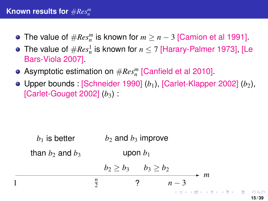- The value of  $\#Res_n^m$  is known for  $m \geq n-3$  [Camion et al 1991].
- The value of  $\#Res_n^1$  is known for  $n\leq 7$  [Harary-Palmer 1973], [Le Bars-Viola 2007].
- Asymptotic estimation on #*Res<sup>m</sup> n* [Canfield et al 2010].
- Upper bounds : [Schneider 1990] (*b*<sub>1</sub>), [Carlet-Klapper 2002] (*b*<sub>2</sub>), [Carlet-Gouget 2002]  $(b_3)$ :

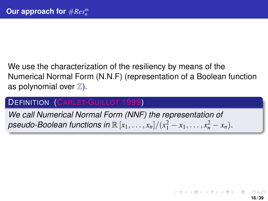# We use the characterization of the resiliency by means of the Numerical Normal Form (N.N.F) (representation of a Boolean function as polynomial over  $\mathbb{Z}$ ).

# **DEFINITION (CARLET-GUILLOT 1999)**

*We call Numerical Normal Form (NNF) the representation of*  $p$ seudo-Boolean functions in  $\mathbb{R} [x_1, \ldots, x_n]/(x_1^2 - x_1, \ldots, x_n^2 - x_n)$ .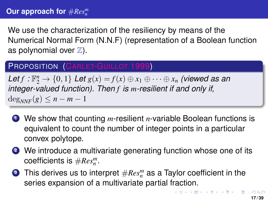<span id="page-16-0"></span>We use the characterization of the resiliency by means of the Numerical Normal Form (N.N.F) (representation of a Boolean function as polynomial over  $\mathbb{Z}$ ).

## PROPOSITION (CARLET-GUILLOT 1999)

Let  $f: \mathbb{F}_2^n \to \{0,1\}$  Let  $g(x) = f(x) \oplus x_1 \oplus \cdots \oplus x_n$  (viewed as an *integer-valued function). Then f is m-resilient if and only if,*  $\deg_{NNF}(g) \leq n - m - 1$ 

- **<sup>1</sup>** We show that counting *m*-resilient *n*-variable Boolean functions is equivalent to count the number of integer points in a particular convex polytope.
- **<sup>2</sup>** We introduce a multivariate generating function whose one of its coefficients is #*Res<sup>m</sup> n* .
- **3** This derives us to interpret  $\# Res_n^m$  as a Taylor coefficient in the series expansion of a multivariate partial fraction.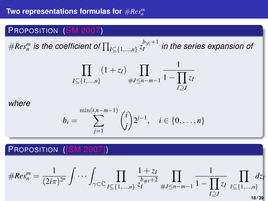# <span id="page-17-0"></span>PROPOSITION (SM 2007)

 $\#Res_{n}^{m}$  is the coefficient of  $\prod_{I \subseteq \{1,...,n\}} z_{I}^{b_{|I|}+1}$ *I in the series expansion of*

$$
\prod_{I \subseteq \{1,\dots,n\}} (1+z_I) \prod_{\#J \le n-m-1} \frac{1}{1-\prod_{I \supseteq J} z_I}
$$

*where*

$$
b_i = \sum_{j=1}^{\min(i,n-m-1)} {i \choose j} 2^{j-1}, \quad i \in \{0,\ldots,n\}
$$

# PROPOSITION ([SM 2007])

$$
\#Res_n^m = \frac{1}{(2i\pi)^{2^n}} \int \cdots \int_{\gamma \subset \mathbb{C}} \prod_{\substack{I \subseteq \{1,\ldots,n\} \\ I \subseteq I}} \frac{1+z_I}{z_I^{b_{\#I}+2}} \prod_{\#J \leq n-m-1} \frac{1}{1-\prod_{I \subseteq J} z_I} \prod_{\substack{I \subseteq \{1,\ldots,n\} \\ 18/39}} dz_I
$$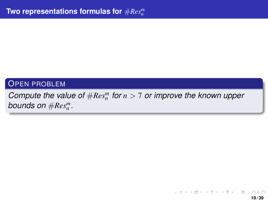#### <span id="page-18-0"></span>OPEN PROBLEM

# *Compute the value of*  $\#Res_n^m$  *for*  $n > 7$  *or improve the known upper bounds on*  $\#Res_n^m$ .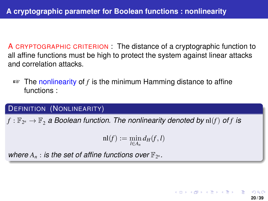A CRYPTOGRAPHIC CRITERION : The distance of a cryptographic function to all affine functions must be high to protect the system against linear attacks and correlation attacks.

☞ The nonlinearity of *f* is the minimum Hamming distance to affine functions :

#### DEFINITION (NONLINEARITY)

 $f: \mathbb{F}_{2^n} \rightarrow \mathbb{F}_2$  a Boolean function. The nonlinearity denoted by  $\mathrm{nl}(f)$  of  $f$  is

$$
\mathrm{nl}(f):=\min_{l\in A_n}d_H(f,l)
$$

**20 / 39**

K □ ▶ K @ ▶ K □ ▶ K □ ▶

where  $A_n$ : is the set of affine functions over  $\mathbb{F}_{2^n}$ .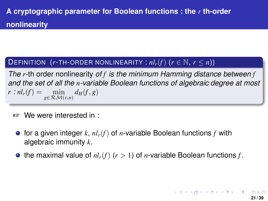### DEFINITION  $(r$ -TH-ORDER NONLINEARITY :  $nl_r(f)$   $(r \in \mathbb{N}, r \leq n)$ )

*The r*-th order nonlinearity *of f is the minimum Hamming distance between f and the set of all the n-variable Boolean functions of algebraic degree at most*  $r : nl_r(f) = \min_{g \in \mathcal{RM}(r,n)} d_H(f,g)$ 

- ☞ We were interested in :
	- $\bullet$  for a given integer  $k$ ,  $nl_r(f)$  of *n*-variable Boolean functions  $f$  with algebraic immunity *k*.
	- $\bullet$  the maximal value of  $nl_r(f)$  ( $r > 1$ ) of *n*-variable Boolean functions *f*.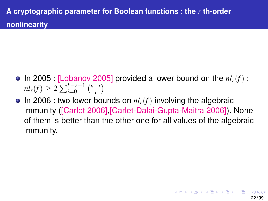- $\bullet$  In 2005 : [Lobanov 2005] provided a lower bound on the  $nl_r(f)$  :  $nl_r(f) \geq 2 \sum_{i=0}^{k-r-1} {n-r \choose i}$  $\binom{-r}{i}$
- $\bullet$  In 2006 : two lower bounds on  $nl_r(f)$  involving the algebraic immunity ([Carlet 2006],[Carlet-Dalai-Gupta-Maitra 2006]). None of them is better than the other one for all values of the algebraic immunity.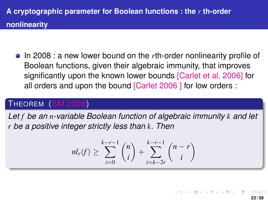In 2008 : a new lower bound on the *r*th-order nonlinearity profile of Boolean functions, given their algebraic immunity, that improves significantly upon the known lower bounds [Carlet et al. 2006] for all orders and upon the bound [Carlet 2006 ] for low orders :

# THEOREM (SM 2008)

*Let f be an n-variable Boolean function of algebraic immunity k and let r be a positive integer strictly less than k. Then*

$$
nl_r(f) \ge \sum_{i=0}^{k-r-1} \binom{n}{i} + \sum_{i=k-2r}^{k-r-1} \binom{n-r}{i}
$$

 $($  ロ }  $($   $($  $)$  }  $($   $)$   $($   $)$   $($   $)$   $($   $)$   $($   $)$   $($   $)$   $($   $)$   $($   $)$   $($   $)$   $($   $)$   $($   $)$   $($   $)$   $($   $)$   $($   $)$   $($   $)$   $($   $)$   $($   $)$   $($   $)$   $($   $)$   $($   $)$   $($   $)$   $($   $)$   $($   $)$   $($   $)$   $($   $)$  **23 / 39**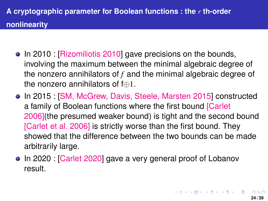- In 2010 : [Rizomiliotis 2010] gave precisions on the bounds, involving the maximum between the minimal algebraic degree of the nonzero annihilators of *f* and the minimal algebraic degree of the nonzero annihilators of f⊕1.
- In 2015 : [SM, McGrew, Davis, Steele, Marsten 2015] constructed a family of Boolean functions where the first bound [Carlet 2006](the presumed weaker bound) is tight and the second bound [Carlet et al. 2006] is strictly worse than the first bound. They showed that the difference between the two bounds can be made arbitrarily large.
- In 2020 : [Carlet 2020] gave a very general proof of Lobanov result.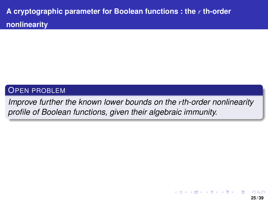### <span id="page-24-0"></span>OPEN PROBLEM

*Improve further the known lower bounds on the rth-order nonlinearity profile of Boolean functions, given their algebraic immunity.*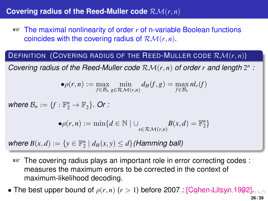## <span id="page-25-0"></span>**Covering radius of the Reed-Muller code** RM(*r*, *n*)

☞ The maximal nonlinearity of order *r* of n-variable Boolean functions coincides with the covering radius of RM(*r*, *n*).

DEFINITION (COVERING RADIUS OF THE REED-MULLER CODE RM(*r*, *n*))

Covering radius of the Reed-Muller code  $\mathcal{RM}(r, n)$  of order  $r$  and length  $2^n$ :

$$
\bullet \rho(r,n):=\max_{f\in\mathcal{B}_n}\min_{g\in\mathcal{RM}(r,n)}d_H(f,g)=\max_{f\in\mathcal{B}_n}nl_r(f)
$$

*where*  $\mathcal{B}_n := \{f : \mathbb{F}_2^n \to \mathbb{F}_2\}$ *. Or :* 

$$
\bullet \rho(r,n) := \min \{ d \in \mathbb{N} \mid \cup_{x \in \mathcal{RM}(r,n)} B(x,d) = \mathbb{F}_2^n \}
$$

 $\mathsf{where} \ B(x, d) := \{ y \in \mathbb{F}_2^n \mid d_H(x, y) \leq d \}$  (Hamming ball)

- ☞ The covering radius plays an important role in error correcting codes : measures the maximum errors to be corrected in the context of maximum-likelihood decoding.
- Th[e](#page-26-0) best upper bound of  $\rho(r, n)$  ( $r > 1$ ) before 20[07](#page-24-0)<sub>p</sub> [\[](#page-26-0)[C](#page-24-0)[oh](#page-25-0)e[n-](#page-0-0)[Lit](#page-38-0)[sy](#page-0-0)[n](#page-38-0) [19](#page-0-0)[92\]](#page-38-0)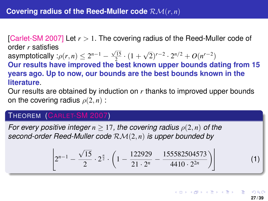<span id="page-26-0"></span>[Carlet-SM 2007] Let *r* > 1. The covering radius of the Reed-Muller code of order *r* satisfies

asymptotically : $\rho(r,n) \leq 2^{n-1} - \frac{\sqrt{15}}{2} \cdot (1 +$ √  $\sqrt{2}$ <sup>*r*−2</sup> ·  $2^{n/2}$  +  $O(n^{r-2})$ 

**Our results have improved the best known upper bounds dating from 15 years ago. Up to now, our bounds are the best bounds known in the literature**.

Our results are obtained by induction on *r* thanks to improved upper bounds on the covering radius  $\rho(2, n)$ :

#### THEOREM (CARLET-SM 2007)

*For every positive integer*  $n > 17$ , the covering radius  $\rho(2, n)$  of the *second-order Reed-Muller code* RM(2, *n*) *is upper bounded by*

$$
\left[2^{n-1}-\frac{\sqrt{15}}{2}\cdot 2^{\frac{n}{2}}\cdot \left(1-\frac{122929}{21\cdot 2^n}-\frac{155582504573}{4410\cdot 2^{2n}}\right)\right]
$$

K ロ ト K 御 ト K 澄 ト K 澄 ト 一磨 **27 / 39**

(1)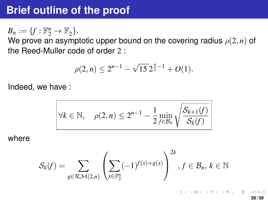# <span id="page-27-0"></span>**Brief outline of the proof**

 $B_n := \{f : \mathbb{F}_2^n \to \mathbb{F}_2\}.$ 

We prove an asymptotic upper bound on the covering radius  $\rho(2, n)$  of the Reed-Muller code of order 2 :

$$
\rho(2,n) \le 2^{n-1} - \sqrt{15} \, 2^{\frac{n}{2}-1} + O(1).
$$

Indeed, we have :

$$
\forall k \in \mathbb{N}, \quad \rho(2,n) \leq 2^{n-1} - \frac{1}{2} \min_{f \in \mathcal{B}_n} \sqrt{\frac{\mathcal{S}_{k+1}(f)}{\mathcal{S}_k(f)}}
$$

where

$$
\mathcal{S}_k(f) = \sum_{g \in \mathcal{RM}(2,n)} \left( \sum_{x \in \mathbb{F}_2^n} (-1)^{f(x)+g(x)} \right)^{2k}, f \in \mathcal{B}_n, k \in \mathbb{N}
$$

**28 / 39**

K ロ ▶ K 個 ▶ K 君 ▶ K 君 ▶ ○ 君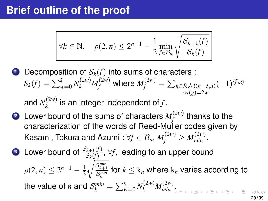# **Brief outline of the proof**

$$
\forall k \in \mathbb{N}, \quad \rho(2,n) \leq 2^{n-1} - \frac{1}{2} \min_{f \in \mathcal{B}_n} \sqrt{\frac{\mathcal{S}_{k+1}(f)}{\mathcal{S}_k(f)}}
$$

**1** Decomposition of  $S_k(f)$  into sums of characters :  $S_k(f) = \sum_{w=0}^k N_k^{(2w)} M_f^{(2w)}$  where  $M_f^{(2w)} = \sum_{g \in \mathcal{RM}(n-3,n)} (-1)^{\langle f,g \rangle}$  $wt(e) = 2w$ 

and  $N_k^{(2w)}$  $\binom{m}{k}$  is an integer independent of *f*.

- **2** Lower bound of the sums of characters  $M_f^{(2w)}$  $f_f^{(2W)}$  thanks to the characterization of the words of Reed-Muller codes given by Kasami, Tokura and Azumi :  $\forall f \in \mathcal{B}_n, M_f^{(2w)} \geq M_{min}^{(2w)}.$
- **3** Lower bound of  $\frac{\mathcal{S}_{k+1}(f)}{\mathcal{S}_{k}(f)}, \forall f,$  leading to an upper bound  $\rho(2,n) \leq 2^{n-1} - \frac{1}{2}$ 2  $\sqrt{\frac{\mathcal{S}_{k+1}^{min}}{\mathcal{S}_{k}^{min}}}$  for  $k\leq \mathrm{k}_n$  where  $\mathrm{k}_n$  varies according to the value of *n* and  $\mathcal{S}_k^{min} = \sum_{w=0}^k N_k^{(2w)} M_{min}^{(2w)}$ [.](#page-27-0)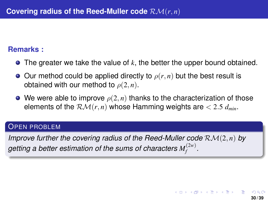#### **Remarks :**

- The greater we take the value of *k*, the better the upper bound obtained.
- $\bullet$  Our method could be applied directly to  $\rho(r,n)$  but the best result is obtained with our method to  $\rho(2, n)$ .
- $\bullet$  We were able to improve  $\rho(2, n)$  thanks to the characterization of those elements of the  $\mathcal{RM}(r, n)$  whose Hamming weights are  $\lt 2.5$   $d_{min}$ .

#### OPEN PROBLEM

*Improve further the covering radius of the Reed-Muller code*  $\mathcal{RM}(2, n)$  *by* getting a better estimation of the sums of characters  $M_f^{(2w)}$  .

K ロ ト K 御 ト K 澄 ト K 澄 ト 一磨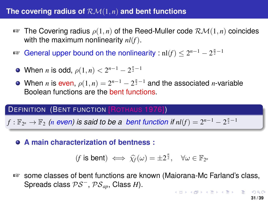### The covering radius of  $\mathcal{RM}(1, n)$  and bent functions

- ☞ The Covering radius ρ(1, *n*) of the Reed-Muller code RM(1, *n*) coincides with the maximum nonlinearity *nl*(*f*).
- $\mathbb{R}^n$  General upper bound on the nonlinearity :  $\mathrm{nl}(f) \leq 2^{n-1} 2^{\frac{n}{2}-1}$ 
	- When *n* is odd,  $\rho(1, n) < 2^{n-1} 2^{\frac{n}{2} 1}$
- When *n* is even,  $\rho(1, n) = 2^{n-1} 2^{\frac{n}{2}-1}$  and the associated *n*-variable Boolean functions are the bent functions.

#### DEFINITION (BENT FUNCTION [ROTHAUS 1976])

 $f:\mathbb{F}_{2^n}\to\mathbb{F}_2$  (*n* even) is said to be a bent function if  $\mathit{nl}(f)=2^{n-1}-2^{\frac{n}{2}-1}$ 

**A main characterization of bentness :**

$$
(f \text{ is bent}) \iff \widehat{\chi}_f(\omega) = \pm 2^{\frac{n}{2}}, \quad \forall \omega \in \mathbb{F}_{2^n}
$$

☞ some classes of bent functions are known (Maiorana-Mc Farland's class, Spreads class PS<sup>−</sup>, PS*ap*, Class *H*).  $A \cup B \cup A \cup B \cup A \cup B \cup A \cup B \cup A \cup B$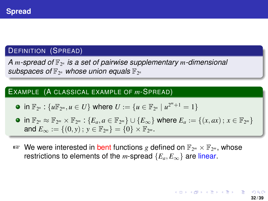# DEFINITION (SPREAD)

*A m-spread of* F<sup>2</sup> *<sup>n</sup> is a set of pairwise supplementary m-dimensional* subspaces of  $\mathbb{F}_{2^n}$  whose union equals  $\mathbb{F}_{2^n}$ 

#### EXAMPLE (A CLASSICAL EXAMPLE OF *m*-SPREAD)

• in 
$$
\mathbb{F}_{2^n}
$$
:  $\{u\mathbb{F}_{2^m}, u \in U\}$  where  $U := \{u \in \mathbb{F}_{2^n} \mid u^{2^m+1} = 1\}$ 

- $\mathsf{in} \ \mathbb{F}_{2^n} \approx \mathbb{F}_{2^m} \times \mathbb{F}_{2^m} : \{E_a, a \in \mathbb{F}_{2^m}\} \cup \{E_\infty\}$  where  $E_a := \{(x, ax) \, ; \, x \in \mathbb{F}_{2^m}\}$ and  $E_{\infty} := \{(0, y) \, ; \, y \in \mathbb{F}_{2^m}\} = \{0\} \times \mathbb{F}_{2^m}.$
- ☞ We were interested in bent functions *g* defined on F<sup>2</sup> *<sup>m</sup>* × F<sup>2</sup> *<sup>m</sup>* , whose restrictions to elements of the *m*-spread  $\{E_a, E_\infty\}$  are linear.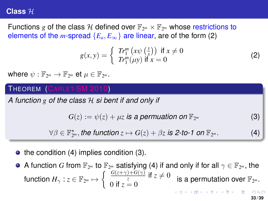#### **Class** H

Functions g of the class H defined over  $\mathbb{F}_{2^m}\times\mathbb{F}_{2^m}$  whose restrictions to elements of the *m*-spread  ${E_a, E_\infty}$  are linear, are of the form (2)

$$
g(x, y) = \begin{cases} Tr_1^m (x\psi(\frac{y}{x})) & \text{if } x \neq 0\\ Tr_1^m(\mu y) & \text{if } x = 0 \end{cases}
$$
 (2)

where  $\psi: \mathbb{F}_{2^m} \to \mathbb{F}_{2^m}$  et  $\mu \in \mathbb{F}_{2^m}$ .

### THEOREM (CARLET-SM 2010)

*A function g of the class* H *si bent if and only if*

 $G(z) := \psi(z) + \mu z$  *is a permuation on*  $\mathbb{F}_{2^m}$ *<sup>m</sup>* (3)

 $\forall \beta \in \mathbb{F}_{2^m}^{\star}$ , the function  $z \mapsto G(z) + \beta z$  is 2-to-1 on  $\mathbb{F}_2$ 

 $\bullet$  the condition (4) implies condition (3).

A function  $G$  from  $\mathbb{F}_{2^m}$  to  $\mathbb{F}_{2^m}$  satisfying (4) if and only if for all  $\gamma\in\mathbb{F}_{2^m},$  the  $f$ unction  $H_{\gamma}: z \in \mathbb{F}_{2^m} \mapsto \begin{cases} \frac{G(z+\gamma)+G(\gamma)}{z} \text{ if } z \neq 0 \ 0 \text{ if } z > 0 \end{cases}$  $\frac{1}{z}$  is a permutation over  $\mathbb{F}_{2^m}$ .<br>0 if  $z = 0$ **KOD KOD KED KED E DAG** 

 $(4)$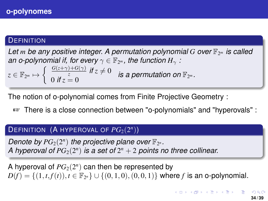#### **DEFINITION**

*Let m be any positive integer. A permutation polynomial G over* F<sup>2</sup> *<sup>m</sup> is called* an *o-polynomial if, for every*  $\gamma \in \mathbb{F}_{2^m}$ , the function  $H_\gamma$  *:*  $z \in \mathbb{F}_{2^m} \mapsto \begin{cases} \frac{G(z+\gamma)+G(\gamma)}{z} & \text{if } z \neq 0 \\ 0 & \text{if } z = 0 \end{cases}$  $\overline{0}$  *if*  $z = 0$  *is a permutation on*  $\mathbb{F}_{2^m}$ .

The notion of o-polynomial comes from Finite Projective Geometry :

☞ There is a close connection between "o-polynomials" and "hyperovals" :

# $\mathsf{DEFINITION}$  (A HYPEROVAL OF  $PG_2(2^n)$ )

*Denote by*  $PG_2(2^n)$  the projective plane over  $\mathbb{F}_{2^n}$ . A hyperoval of  $PG<sub>2</sub>(2<sup>n</sup>)$  is a set of  $2<sup>n</sup> + 2$  points no three collinear.

A hyperoval of  $PG_2(2^n)$  can then be represented by  $D(f) = \{(1, t, f(t)), t \in \mathbb{F}_{2^n}\} \cup \{(0, 1, 0), (0, 0, 1)\}$  where *f* is an o-polynomial.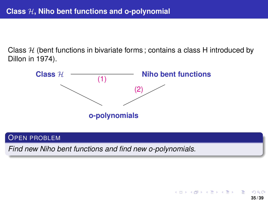<span id="page-34-0"></span>Class  $H$  (bent functions in bivariate forms; contains a class H introduced by Dillon in 1974).



#### OPEN PROBLEM

*Find new Niho bent functions and find new o-polynomials.*

イロト イ押 トイヨ トイヨト **35 / 39**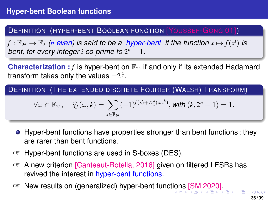#### <span id="page-35-0"></span>DEFINITION (HYPER-BENT BOOLEAN FUNCTION [YOUSSEF-GONG 01])

 $f: \mathbb{F}_{2^n} \to \mathbb{F}_2$  (*n* even) is said to be a hyper-bent if the function  $x \mapsto f(x^i)$  is *bent, for every integer i co-prime to* 2 *<sup>n</sup>* − 1*.*

**Characterization**:  $f$  is hyper-bent on  $\mathbb{F}_{2^n}$  if and only if its extended Hadamard transform takes only the values  $\pm 2^{\frac{n}{2}}$ .

DEFINITION (THE EXTENDED DISCRETE FOURIER (WALSH) TRANSFORM)

$$
\forall \omega \in \mathbb{F}_{2^n}, \quad \widehat{\chi_f}(\omega, k) = \sum_{x \in \mathbb{F}_{2^n}} (-1)^{f(x) + Tr_1^n(\omega x^k)}, \text{with } (k, 2^n - 1) = 1.
$$

- **•** Hyper-bent functions have properties stronger than bent functions; they are rarer than bent functions.
- ☞ Hyper-bent functions are used in S-boxes (DES).
- ☞ A new criterion [Canteaut-Rotella, 2016] given on filtered LFSRs has revived the interest in hyper-bent functions.
- ☞ New results on (generalized) hyper-bent funct[ion](#page-34-0)[s](#page-36-0) [\[S](#page-34-0)[M](#page-35-0)[20](#page-0-0)[20](#page-38-0)[\].](#page-0-0)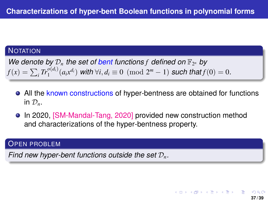#### <span id="page-36-0"></span>**NOTATION**

We denote by  $\mathcal{D}_n$  the set of bent functions  $f$  defined on  $\mathbb{F}_{2^n}$  by  $f(x) = \sum_i Tr_1^{o(d_i)}(a_i x^{d_i})$  *with*  $\forall i, d_i \equiv 0 \pmod{2^m - 1}$  *such that*  $f(0) = 0$ *.* 

- All the known constructions of hyper-bentness are obtained for functions in  $\mathcal{D}_n$ .
- In 2020, [SM-Mandal-Tang, 2020] provided new construction method and characterizations of the hyper-bentness property.

#### OPEN PROBLEM

*Find new hyper-bent functions outside the set* D*n.*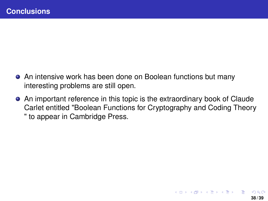- An intensive work has been done on Boolean functions but many interesting problems are still open.
- An important reference in this topic is the extraordinary book of Claude Carlet entitled "Boolean Functions for Cryptography and Coding Theory " to appear in Cambridge Press.